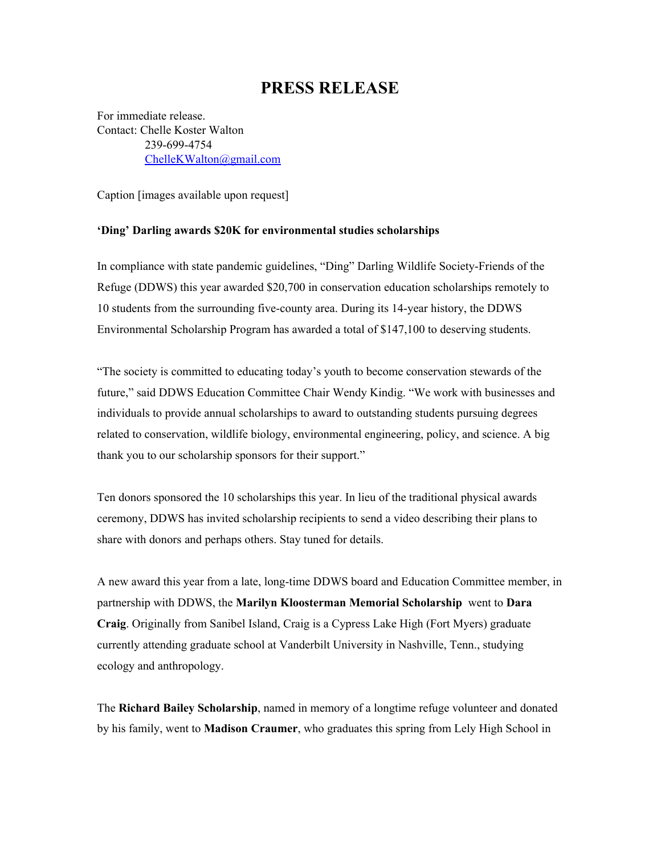## **PRESS RELEASE**

For immediate release. Contact: Chelle Koster Walton 239-699-4754 [ChelleKWalton@gmail.com](mailto:ChelleKWalton@gmail.com)

Caption [images available upon request]

## **'Ding' Darling awards \$20K for environmental studies scholarships**

In compliance with state pandemic guidelines, "Ding" Darling Wildlife Society-Friends of the Refuge (DDWS) this year awarded \$20,700 in conservation education scholarships remotely to 10 students from the surrounding five-county area. During its 14-year history, the DDWS Environmental Scholarship Program has awarded a total of \$147,100 to deserving students.

"The society is committed to educating today's youth to become conservation stewards of the future," said DDWS Education Committee Chair Wendy Kindig. "We work with businesses and individuals to provide annual scholarships to award to outstanding students pursuing degrees related to conservation, wildlife biology, environmental engineering, policy, and science. A big thank you to our scholarship sponsors for their support."

Ten donors sponsored the 10 scholarships this year. In lieu of the traditional physical awards ceremony, DDWS has invited scholarship recipients to send a video describing their plans to share with donors and perhaps others. Stay tuned for details.

A new award this year from a late, long-time DDWS board and Education Committee member, in partnership with DDWS, the **Marilyn Kloosterman Memorial Scholarship** went to **Dara Craig**. Originally from Sanibel Island, Craig is a Cypress Lake High (Fort Myers) graduate currently attending graduate school at Vanderbilt University in Nashville, Tenn., studying ecology and anthropology.

The **Richard Bailey Scholarship**, named in memory of a longtime refuge volunteer and donated by his family, went to **Madison Craumer**, who graduates this spring from Lely High School in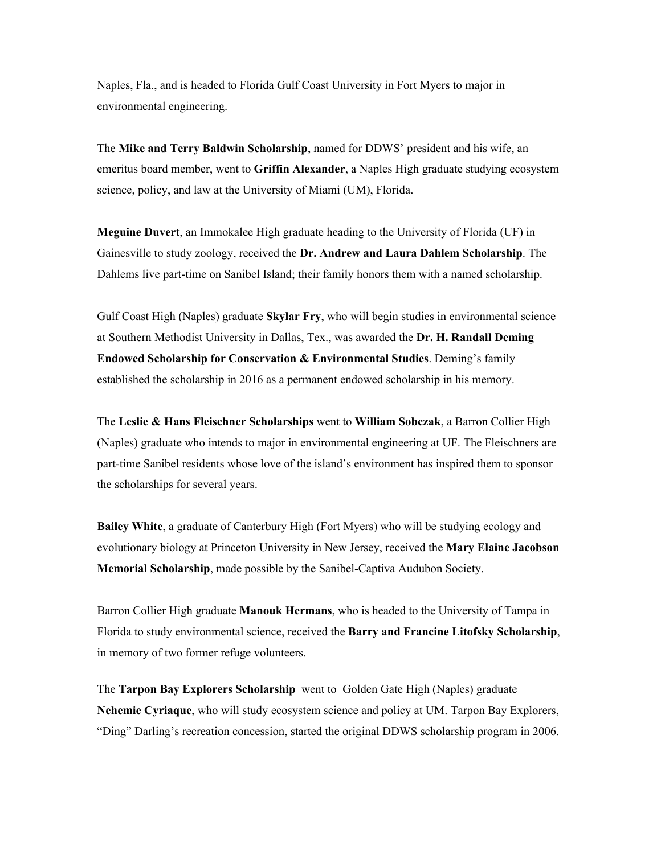Naples, Fla., and is headed to Florida Gulf Coast University in Fort Myers to major in environmental engineering.

The **Mike and Terry Baldwin Scholarship**, named for DDWS' president and his wife, an emeritus board member, went to **Griffin Alexander**, a Naples High graduate studying ecosystem science, policy, and law at the University of Miami (UM), Florida.

**Meguine Duvert**, an Immokalee High graduate heading to the University of Florida (UF) in Gainesville to study zoology, received the **Dr. Andrew and Laura Dahlem Scholarship**. The Dahlems live part-time on Sanibel Island; their family honors them with a named scholarship.

Gulf Coast High (Naples) graduate **Skylar Fry**, who will begin studies in environmental science at Southern Methodist University in Dallas, Tex., was awarded the **Dr. H. Randall Deming Endowed Scholarship for Conservation & Environmental Studies**. Deming's family established the scholarship in 2016 as a permanent endowed scholarship in his memory.

The **Leslie & Hans Fleischner Scholarships** went to **William Sobczak**, a Barron Collier High (Naples) graduate who intends to major in environmental engineering at UF. The Fleischners are part-time Sanibel residents whose love of the island's environment has inspired them to sponsor the scholarships for several years.

**Bailey White**, a graduate of Canterbury High (Fort Myers) who will be studying ecology and evolutionary biology at Princeton University in New Jersey, received the **Mary Elaine Jacobson Memorial Scholarship**, made possible by the Sanibel-Captiva Audubon Society.

Barron Collier High graduate **Manouk Hermans**, who is headed to the University of Tampa in Florida to study environmental science, received the **Barry and Francine Litofsky Scholarship**, in memory of two former refuge volunteers.

The **Tarpon Bay Explorers Scholarship** went to Golden Gate High (Naples) graduate **Nehemie Cyriaque**, who will study ecosystem science and policy at UM. Tarpon Bay Explorers, "Ding" Darling's recreation concession, started the original DDWS scholarship program in 2006.